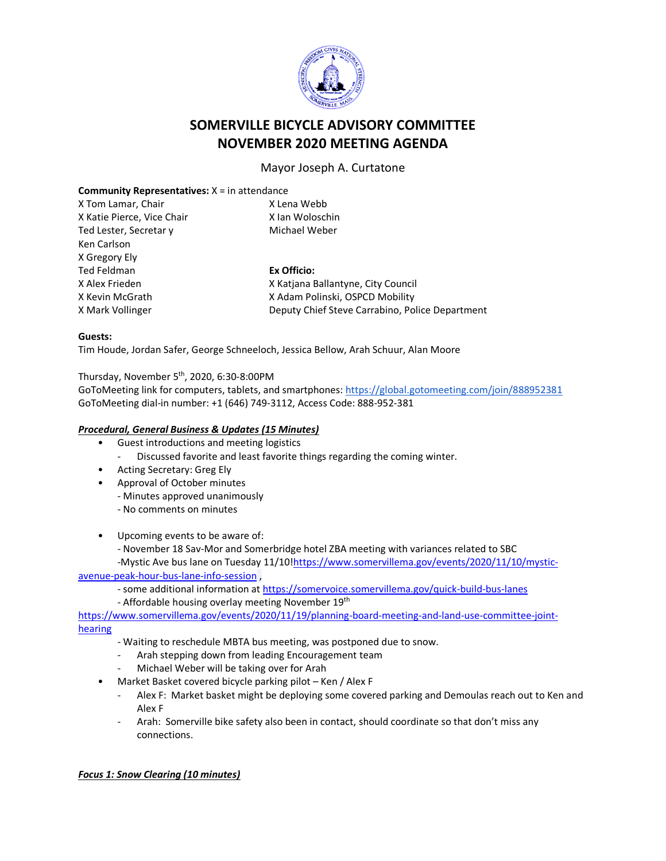

# **SOMERVILLE BICYCLE ADVISORY COMMITTEE NOVEMBER 2020 MEETING AGENDA**

Mayor Joseph A. Curtatone

# **Community Representatives:** X = in attendance

| X Tom Lamar, Chair         | X Lena Webb                                     |
|----------------------------|-------------------------------------------------|
| X Katie Pierce, Vice Chair | X Ian Woloschin                                 |
| Ted Lester, Secretar y     | Michael Weber                                   |
| Ken Carlson                |                                                 |
| X Gregory Ely              |                                                 |
| Ted Feldman                | Ex Officio:                                     |
| X Alex Frieden             | X Katiana Ballantyne, City Council              |
| X Kevin McGrath            | X Adam Polinski, OSPCD Mobility                 |
| X Mark Vollinger           | Deputy Chief Steve Carrabino, Police Department |
|                            |                                                 |

#### **Guests:**

Tim Houde, Jordan Safer, George Schneeloch, Jessica Bellow, Arah Schuur, Alan Moore

# Thursday, November 5th, 2020, 6:30-8:00PM

GoToMeeting link for computers, tablets, and smartphones:<https://global.gotomeeting.com/join/888952381> GoToMeeting dial-in number: +1 (646) 749-3112, Access Code: 888-952-381

#### *Procedural, General Business & Updates (15 Minutes)*

- Guest introductions and meeting logistics
	- Discussed favorite and least favorite things regarding the coming winter.
- Acting Secretary: Greg Ely
- Approval of October minutes
	- Minutes approved unanimously
	- No comments on minutes

• Upcoming events to be aware of:

- November 18 Sav-Mor and Somerbridge hotel ZBA meeting with variances related to SBC

-Mystic Ave bus lane on Tuesday 11/10[!https://www.somervillema.gov/events/2020/11/10/mystic](https://www.somervillema.gov/events/2020/11/10/mystic-avenue-peak-hour-bus-lane-info-session)[avenue-peak-hour-bus-lane-info-session](https://www.somervillema.gov/events/2020/11/10/mystic-avenue-peak-hour-bus-lane-info-session) ,

- some additional information at<https://somervoice.somervillema.gov/quick-build-bus-lanes>

- Affordable housing overlay meeting November 19<sup>th</sup>

[https://www.somervillema.gov/events/2020/11/19/planning-board-meeting-and-land-use-committee-joint](https://www.somervillema.gov/events/2020/11/19/planning-board-meeting-and-land-use-committee-joint-hearing)[hearing](https://www.somervillema.gov/events/2020/11/19/planning-board-meeting-and-land-use-committee-joint-hearing)

- Waiting to reschedule MBTA bus meeting, was postponed due to snow.
	- Arah stepping down from leading Encouragement team
- Michael Weber will be taking over for Arah
- Market Basket covered bicycle parking pilot Ken / Alex F
	- Alex F: Market basket might be deploying some covered parking and Demoulas reach out to Ken and Alex F
	- Arah: Somerville bike safety also been in contact, should coordinate so that don't miss any connections.

## *Focus 1: Snow Clearing (10 minutes)*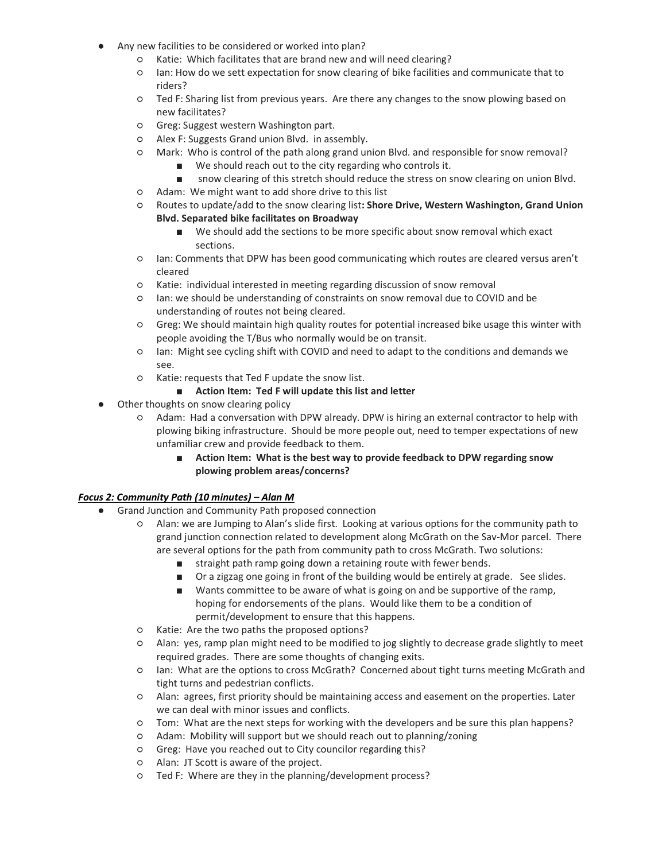- Any new facilities to be considered or worked into plan?
	- Katie: Which facilitates that are brand new and will need clearing?
	- Ian: How do we sett expectation for snow clearing of bike facilities and communicate that to riders?
	- Ted F: Sharing list from previous years. Are there any changes to the snow plowing based on new facilitates?
	- Greg: Suggest western Washington part.
	- Alex F: Suggests Grand union Blvd. in assembly.
	- Mark: Who is control of the path along grand union Blvd. and responsible for snow removal?
		- We should reach out to the city regarding who controls it.
		- snow clearing of this stretch should reduce the stress on snow clearing on union Blvd.
	- Adam: We might want to add shore drive to this list
	- Routes to update/add to the snow clearing list**: Shore Drive, Western Washington, Grand Union Blvd. Separated bike facilitates on Broadway**
		- We should add the sections to be more specific about snow removal which exact sections.
	- Ian: Comments that DPW has been good communicating which routes are cleared versus aren't cleared
	- Katie: individual interested in meeting regarding discussion of snow removal
	- Ian: we should be understanding of constraints on snow removal due to COVID and be understanding of routes not being cleared.
	- Greg: We should maintain high quality routes for potential increased bike usage this winter with people avoiding the T/Bus who normally would be on transit.
	- Ian: Might see cycling shift with COVID and need to adapt to the conditions and demands we see.
	- Katie: requests that Ted F update the snow list.
		- **Action Item: Ted F will update this list and letter**
- Other thoughts on snow clearing policy
	- Adam: Had a conversation with DPW already. DPW is hiring an external contractor to help with plowing biking infrastructure. Should be more people out, need to temper expectations of new unfamiliar crew and provide feedback to them.
		- **Action Item: What is the best way to provide feedback to DPW regarding snow plowing problem areas/concerns?**

## *Focus 2: Community Path (10 minutes) – Alan M*

- Grand Junction and Community Path proposed connection
	- Alan: we are Jumping to Alan's slide first. Looking at various options for the community path to grand junction connection related to development along McGrath on the Sav-Mor parcel. There are several options for the path from community path to cross McGrath. Two solutions:
		- straight path ramp going down a retaining route with fewer bends.
		- Or a zigzag one going in front of the building would be entirely at grade. See slides.
		- Wants committee to be aware of what is going on and be supportive of the ramp, hoping for endorsements of the plans. Would like them to be a condition of permit/development to ensure that this happens.
	- Katie: Are the two paths the proposed options?
	- Alan: yes, ramp plan might need to be modified to jog slightly to decrease grade slightly to meet required grades. There are some thoughts of changing exits.
	- Ian: What are the options to cross McGrath? Concerned about tight turns meeting McGrath and tight turns and pedestrian conflicts.
	- Alan: agrees, first priority should be maintaining access and easement on the properties. Later we can deal with minor issues and conflicts.
	- Tom: What are the next steps for working with the developers and be sure this plan happens?
	- Adam: Mobility will support but we should reach out to planning/zoning
	- Greg: Have you reached out to City councilor regarding this?
	- Alan: JT Scott is aware of the project.
	- Ted F: Where are they in the planning/development process?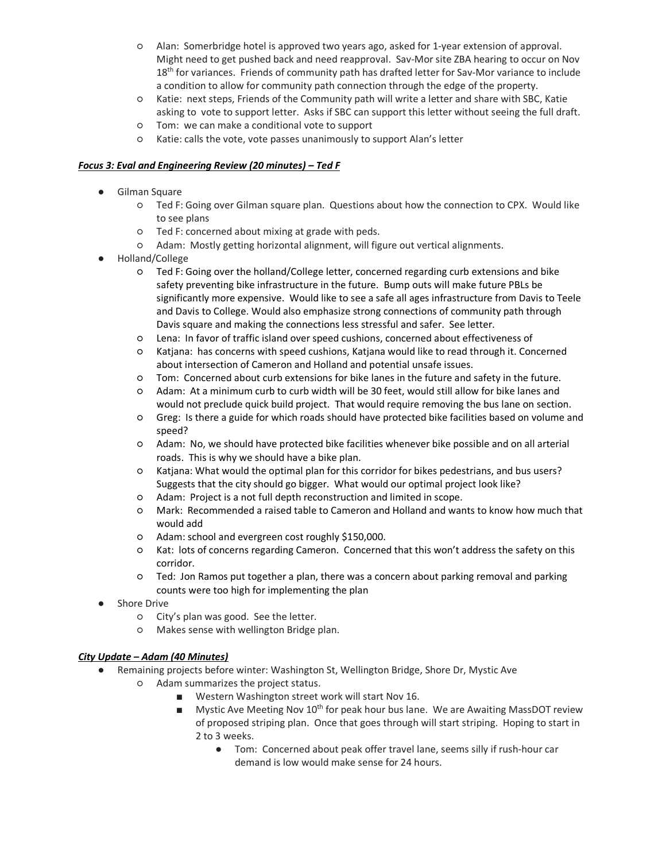- Alan: Somerbridge hotel is approved two years ago, asked for 1-year extension of approval. Might need to get pushed back and need reapproval. Sav-Mor site ZBA hearing to occur on Nov 18<sup>th</sup> for variances. Friends of community path has drafted letter for Sav-Mor variance to include a condition to allow for community path connection through the edge of the property.
- Katie: next steps, Friends of the Community path will write a letter and share with SBC, Katie asking to vote to support letter. Asks if SBC can support this letter without seeing the full draft.
- Tom: we can make a conditional vote to support
- Katie: calls the vote, vote passes unanimously to support Alan's letter

## *Focus 3: Eval and Engineering Review (20 minutes) – Ted F*

- Gilman Square
	- Ted F: Going over Gilman square plan. Questions about how the connection to CPX. Would like to see plans
	- Ted F: concerned about mixing at grade with peds.
	- Adam: Mostly getting horizontal alignment, will figure out vertical alignments.
- Holland/College
	- Ted F: Going over the holland/College letter, concerned regarding curb extensions and bike safety preventing bike infrastructure in the future. Bump outs will make future PBLs be significantly more expensive. Would like to see a safe all ages infrastructure from Davis to Teele and Davis to College. Would also emphasize strong connections of community path through Davis square and making the connections less stressful and safer. See letter.
	- Lena: In favor of traffic island over speed cushions, concerned about effectiveness of
	- Katjana: has concerns with speed cushions, Katjana would like to read through it. Concerned about intersection of Cameron and Holland and potential unsafe issues.
	- Tom: Concerned about curb extensions for bike lanes in the future and safety in the future.
	- Adam: At a minimum curb to curb width will be 30 feet, would still allow for bike lanes and would not preclude quick build project. That would require removing the bus lane on section.
	- Greg: Is there a guide for which roads should have protected bike facilities based on volume and speed?
	- Adam: No, we should have protected bike facilities whenever bike possible and on all arterial roads. This is why we should have a bike plan.
	- Katjana: What would the optimal plan for this corridor for bikes pedestrians, and bus users? Suggests that the city should go bigger. What would our optimal project look like?
	- Adam: Project is a not full depth reconstruction and limited in scope.
	- Mark: Recommended a raised table to Cameron and Holland and wants to know how much that would add
	- Adam: school and evergreen cost roughly \$150,000.
	- Kat: lots of concerns regarding Cameron. Concerned that this won't address the safety on this corridor.
	- Ted: Jon Ramos put together a plan, there was a concern about parking removal and parking counts were too high for implementing the plan
- **Shore Drive** 
	- City's plan was good. See the letter.
	- Makes sense with wellington Bridge plan.

# *City Update – Adam (40 Minutes)*

- Remaining projects before winter: Washington St, Wellington Bridge, Shore Dr, Mystic Ave ○ Adam summarizes the project status.
	- Western Washington street work will start Nov 16.
	- Mystic Ave Meeting Nov 10<sup>th</sup> for peak hour bus lane. We are Awaiting MassDOT review of proposed striping plan. Once that goes through will start striping. Hoping to start in 2 to 3 weeks.
		- Tom: Concerned about peak offer travel lane, seems silly if rush-hour car demand is low would make sense for 24 hours.